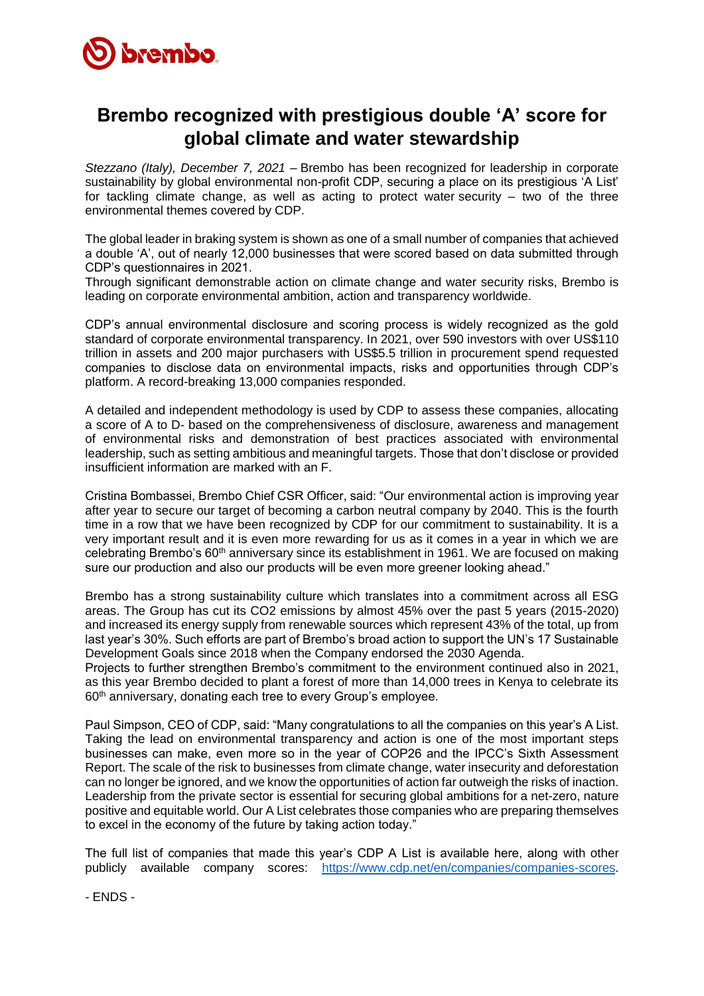

## **Brembo recognized with prestigious double 'A' score for global climate and water stewardship**

*Stezzano (Italy), December 7, 2021 –* Brembo has been recognized for leadership in corporate sustainability by global environmental non-profit CDP, securing a place on its prestigious 'A List' for tackling climate change, as well as acting to protect water security – two of the three environmental themes covered by CDP.

The global leader in braking system is shown as one of a small number of companies that achieved a double 'A', out of nearly 12,000 businesses that were scored based on data submitted through CDP's questionnaires in 2021.

Through significant demonstrable action on climate change and water security risks, Brembo is leading on corporate environmental ambition, action and transparency worldwide.

CDP's annual environmental disclosure and scoring process is widely recognized as the gold standard of corporate environmental transparency. In 2021, over 590 investors with over US\$110 trillion in assets and 200 major purchasers with US\$5.5 trillion in procurement spend requested companies to disclose data on environmental impacts, risks and opportunities through CDP's platform. A record-breaking 13,000 companies responded.

A detailed and independent methodology is used by CDP to assess these companies, allocating a score of A to D- based on the comprehensiveness of disclosure, awareness and management of environmental risks and demonstration of best practices associated with environmental leadership, such as setting ambitious and meaningful targets. Those that don't disclose or provided insufficient information are marked with an F.

Cristina Bombassei, Brembo Chief CSR Officer, said: "Our environmental action is improving year after year to secure our target of becoming a carbon neutral company by 2040. This is the fourth time in a row that we have been recognized by CDP for our commitment to sustainability. It is a very important result and it is even more rewarding for us as it comes in a year in which we are celebrating Brembo's 60<sup>th</sup> anniversary since its establishment in 1961. We are focused on making sure our production and also our products will be even more greener looking ahead."

Brembo has a strong sustainability culture which translates into a commitment across all ESG areas. The Group has cut its CO2 emissions by almost 45% over the past 5 years (2015-2020) and increased its energy supply from renewable sources which represent 43% of the total, up from last year's 30%. Such efforts are part of Brembo's broad action to support the UN's 17 Sustainable Development Goals since 2018 when the Company endorsed the 2030 Agenda.

Projects to further strengthen Brembo's commitment to the environment continued also in 2021, as this year Brembo decided to plant a forest of more than 14,000 trees in Kenya to celebrate its 60th anniversary, donating each tree to every Group's employee.

Paul Simpson, CEO of CDP, said: "Many congratulations to all the companies on this year's A List. Taking the lead on environmental transparency and action is one of the most important steps businesses can make, even more so in the year of COP26 and the IPCC's Sixth Assessment Report. The scale of the risk to businesses from climate change, water insecurity and deforestation can no longer be ignored, and we know the opportunities of action far outweigh the risks of inaction. Leadership from the private sector is essential for securing global ambitions for a net-zero, nature positive and equitable world. Our A List celebrates those companies who are preparing themselves to excel in the economy of the future by taking action today."

The full list of companies that made this year's CDP A List is available here, along with other publicly available company scores: [https://www.cdp.net/en/companies/companies-scores.](https://www.cdp.net/en/companies/companies-scores)

- ENDS -